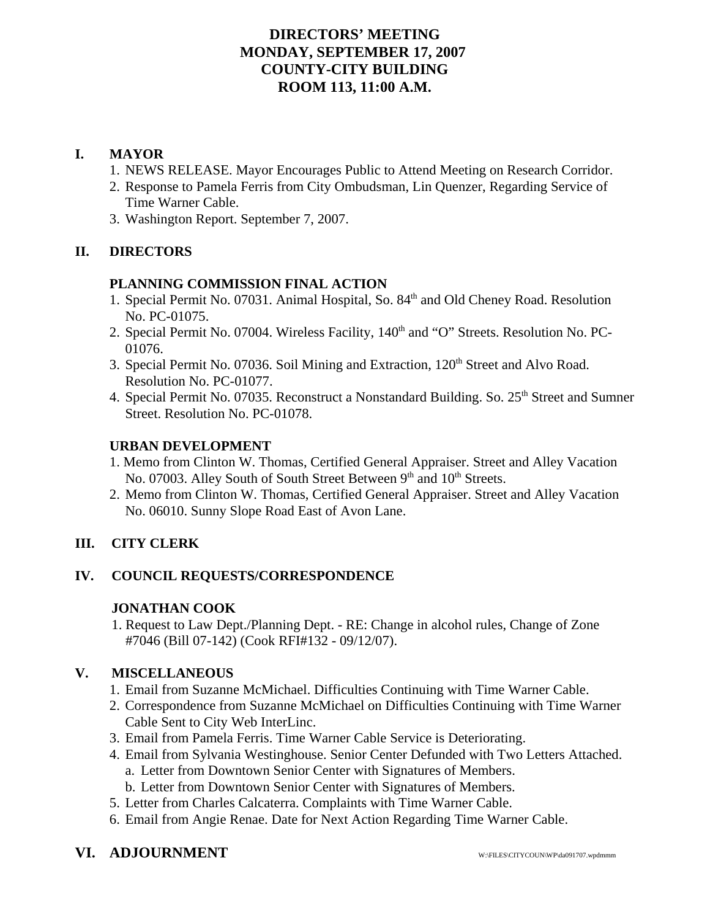# **DIRECTORS' MEETING MONDAY, SEPTEMBER 17, 2007 COUNTY-CITY BUILDING ROOM 113, 11:00 A.M.**

# **I. MAYOR**

- 1. NEWS RELEASE. Mayor Encourages Public to Attend Meeting on Research Corridor.
- 2. Response to Pamela Ferris from City Ombudsman, Lin Quenzer, Regarding Service of Time Warner Cable.
- 3. Washington Report. September 7, 2007.

# **II. DIRECTORS**

### **PLANNING COMMISSION FINAL ACTION**

- 1. Special Permit No. 07031. Animal Hospital, So. 84<sup>th</sup> and Old Cheney Road. Resolution No. PC-01075.
- 2. Special Permit No. 07004. Wireless Facility, 140<sup>th</sup> and "O" Streets. Resolution No. PC-01076.
- 3. Special Permit No. 07036. Soil Mining and Extraction, 120<sup>th</sup> Street and Alvo Road. Resolution No. PC-01077.
- 4. Special Permit No. 07035. Reconstruct a Nonstandard Building. So. 25<sup>th</sup> Street and Sumner Street. Resolution No. PC-01078.

### **URBAN DEVELOPMENT**

- 1. Memo from Clinton W. Thomas, Certified General Appraiser. Street and Alley Vacation No. 07003. Alley South of South Street Between 9<sup>th</sup> and 10<sup>th</sup> Streets.
- 2. Memo from Clinton W. Thomas, Certified General Appraiser. Street and Alley Vacation No. 06010. Sunny Slope Road East of Avon Lane.

# **III. CITY CLERK**

### **IV. COUNCIL REQUESTS/CORRESPONDENCE**

### **JONATHAN COOK**

1. Request to Law Dept./Planning Dept. - RE: Change in alcohol rules, Change of Zone #7046 (Bill 07-142) (Cook RFI#132 - 09/12/07).

### **V. MISCELLANEOUS**

- 1. Email from Suzanne McMichael. Difficulties Continuing with Time Warner Cable.
- 2. Correspondence from Suzanne McMichael on Difficulties Continuing with Time Warner Cable Sent to City Web InterLinc.
- 3. Email from Pamela Ferris. Time Warner Cable Service is Deteriorating.
- 4. Email from Sylvania Westinghouse. Senior Center Defunded with Two Letters Attached. a. Letter from Downtown Senior Center with Signatures of Members.
	- b. Letter from Downtown Senior Center with Signatures of Members.
- 5. Letter from Charles Calcaterra. Complaints with Time Warner Cable.
- 6. Email from Angie Renae. Date for Next Action Regarding Time Warner Cable.

# **VI. ADJOURNMENT**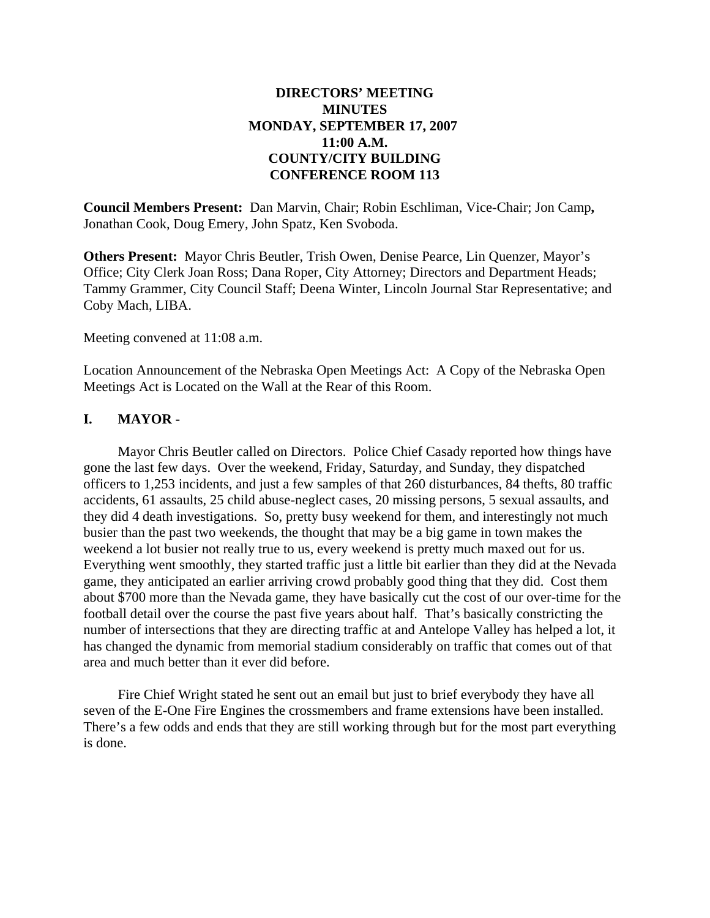# **DIRECTORS' MEETING MINUTES MONDAY, SEPTEMBER 17, 2007 11:00 A.M. COUNTY/CITY BUILDING CONFERENCE ROOM 113**

**Council Members Present:** Dan Marvin, Chair; Robin Eschliman, Vice-Chair; Jon Camp**,** Jonathan Cook, Doug Emery, John Spatz, Ken Svoboda.

**Others Present:** Mayor Chris Beutler, Trish Owen, Denise Pearce, Lin Quenzer, Mayor's Office; City Clerk Joan Ross; Dana Roper, City Attorney; Directors and Department Heads; Tammy Grammer, City Council Staff; Deena Winter, Lincoln Journal Star Representative; and Coby Mach, LIBA.

Meeting convened at 11:08 a.m.

Location Announcement of the Nebraska Open Meetings Act: A Copy of the Nebraska Open Meetings Act is Located on the Wall at the Rear of this Room.

### **I. MAYOR -**

Mayor Chris Beutler called on Directors. Police Chief Casady reported how things have gone the last few days. Over the weekend, Friday, Saturday, and Sunday, they dispatched officers to 1,253 incidents, and just a few samples of that 260 disturbances, 84 thefts, 80 traffic accidents, 61 assaults, 25 child abuse-neglect cases, 20 missing persons, 5 sexual assaults, and they did 4 death investigations. So, pretty busy weekend for them, and interestingly not much busier than the past two weekends, the thought that may be a big game in town makes the weekend a lot busier not really true to us, every weekend is pretty much maxed out for us. Everything went smoothly, they started traffic just a little bit earlier than they did at the Nevada game, they anticipated an earlier arriving crowd probably good thing that they did. Cost them about \$700 more than the Nevada game, they have basically cut the cost of our over-time for the football detail over the course the past five years about half. That's basically constricting the number of intersections that they are directing traffic at and Antelope Valley has helped a lot, it has changed the dynamic from memorial stadium considerably on traffic that comes out of that area and much better than it ever did before.

Fire Chief Wright stated he sent out an email but just to brief everybody they have all seven of the E-One Fire Engines the crossmembers and frame extensions have been installed. There's a few odds and ends that they are still working through but for the most part everything is done.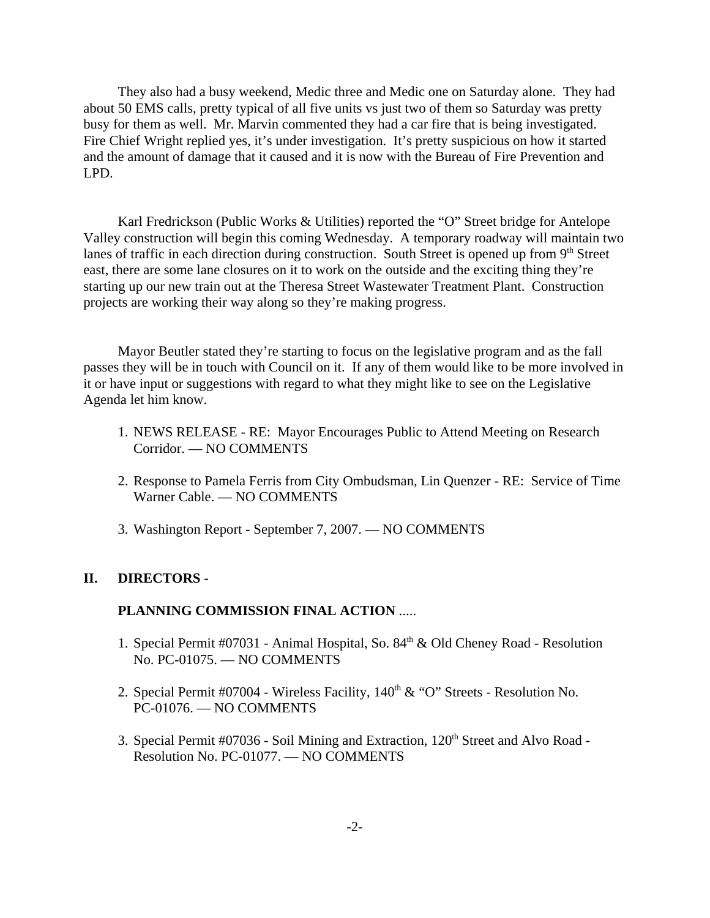They also had a busy weekend, Medic three and Medic one on Saturday alone. They had about 50 EMS calls, pretty typical of all five units vs just two of them so Saturday was pretty busy for them as well. Mr. Marvin commented they had a car fire that is being investigated. Fire Chief Wright replied yes, it's under investigation. It's pretty suspicious on how it started and the amount of damage that it caused and it is now with the Bureau of Fire Prevention and LPD.

Karl Fredrickson (Public Works & Utilities) reported the "O" Street bridge for Antelope Valley construction will begin this coming Wednesday. A temporary roadway will maintain two lanes of traffic in each direction during construction. South Street is opened up from  $9<sup>th</sup>$  Street east, there are some lane closures on it to work on the outside and the exciting thing they're starting up our new train out at the Theresa Street Wastewater Treatment Plant. Construction projects are working their way along so they're making progress.

Mayor Beutler stated they're starting to focus on the legislative program and as the fall passes they will be in touch with Council on it. If any of them would like to be more involved in it or have input or suggestions with regard to what they might like to see on the Legislative Agenda let him know.

- 1. NEWS RELEASE RE: Mayor Encourages Public to Attend Meeting on Research Corridor. — NO COMMENTS
- 2. Response to Pamela Ferris from City Ombudsman, Lin Quenzer RE: Service of Time Warner Cable. — NO COMMENTS
- 3. Washington Report September 7, 2007. NO COMMENTS

#### **II. DIRECTORS -**

# **PLANNING COMMISSION FINAL ACTION** .....

- 1. Special Permit #07031 Animal Hospital, So. 84<sup>th</sup> & Old Cheney Road Resolution No. PC-01075. — NO COMMENTS
- 2. Special Permit #07004 Wireless Facility, 140<sup>th</sup> & "O" Streets Resolution No. PC-01076. — NO COMMENTS
- 3. Special Permit  $#07036$  Soil Mining and Extraction,  $120<sup>th</sup>$  Street and Alvo Road -Resolution No. PC-01077. — NO COMMENTS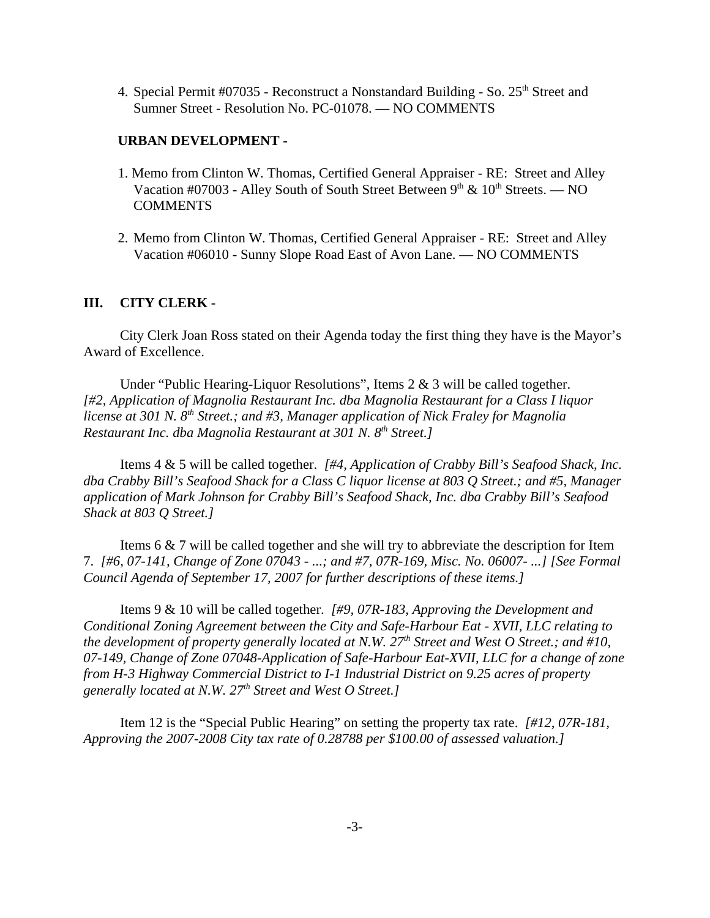4. Special Permit  $\#07035$  - Reconstruct a Nonstandard Building - So.  $25<sup>th</sup>$  Street and Sumner Street - Resolution No. PC-01078. **—** NO COMMENTS

#### **URBAN DEVELOPMENT -**

- 1. Memo from Clinton W. Thomas, Certified General Appraiser RE: Street and Alley Vacation #07003 - Alley South of South Street Between  $9<sup>th</sup>$  &  $10<sup>th</sup>$  Streets. — NO **COMMENTS**
- 2. Memo from Clinton W. Thomas, Certified General Appraiser RE: Street and Alley Vacation #06010 - Sunny Slope Road East of Avon Lane. — NO COMMENTS

#### **III. CITY CLERK -**

City Clerk Joan Ross stated on their Agenda today the first thing they have is the Mayor's Award of Excellence.

Under "Public Hearing-Liquor Resolutions", Items 2 & 3 will be called together. *[#2, Application of Magnolia Restaurant Inc. dba Magnolia Restaurant for a Class I liquor license at 301 N. 8<sup>th</sup> Street.; and #3, Manager application of Nick Fraley for Magnolia Restaurant Inc. dba Magnolia Restaurant at 301 N. 8th Street.]* 

Items 4 & 5 will be called together. *[#4, Application of Crabby Bill's Seafood Shack, Inc. dba Crabby Bill's Seafood Shack for a Class C liquor license at 803 Q Street.; and #5, Manager application of Mark Johnson for Crabby Bill's Seafood Shack, Inc. dba Crabby Bill's Seafood Shack at 803 Q Street.]*

Items 6 & 7 will be called together and she will try to abbreviate the description for Item 7. *[#6, 07-141, Change of Zone 07043 - ...; and #7, 07R-169, Misc. No. 06007- ...] [See Formal Council Agenda of September 17, 2007 for further descriptions of these items.]*

Items 9 & 10 will be called together. *[#9, 07R-183, Approving the Development and Conditional Zoning Agreement between the City and Safe-Harbour Eat - XVII, LLC relating to the development of property generally located at N.W.*  $27<sup>th</sup>$  Street and West O Street.; and #10, *07-149, Change of Zone 07048-Application of Safe-Harbour Eat-XVII, LLC for a change of zone from H-3 Highway Commercial District to I-1 Industrial District on 9.25 acres of property generally located at N.W. 27th Street and West O Street.]* 

Item 12 is the "Special Public Hearing" on setting the property tax rate. *[#12, 07R-181, Approving the 2007-2008 City tax rate of 0.28788 per \$100.00 of assessed valuation.]*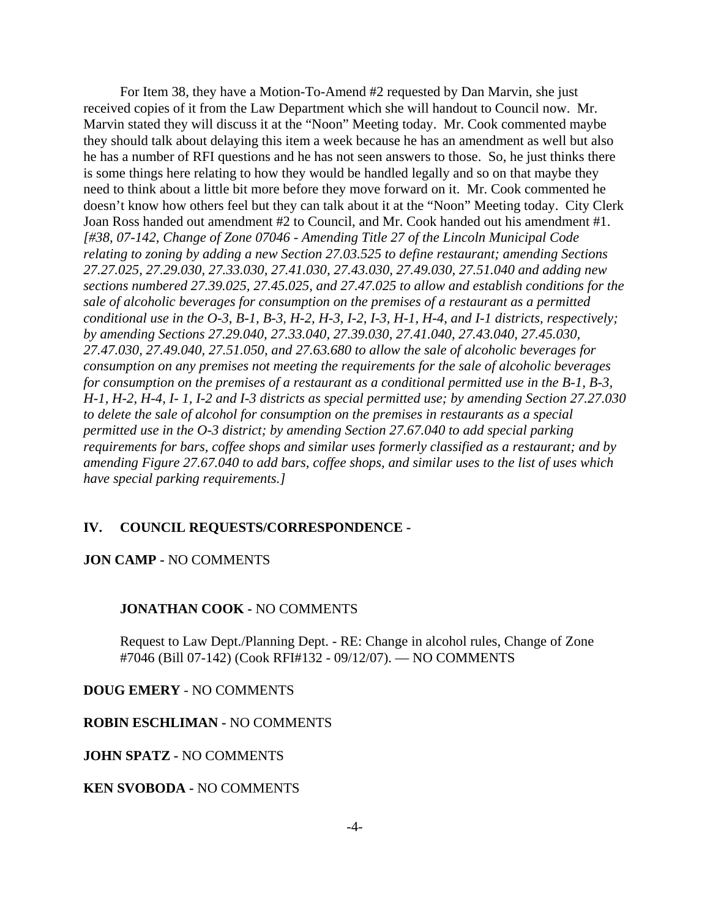For Item 38, they have a Motion-To-Amend #2 requested by Dan Marvin, she just received copies of it from the Law Department which she will handout to Council now. Mr. Marvin stated they will discuss it at the "Noon" Meeting today. Mr. Cook commented maybe they should talk about delaying this item a week because he has an amendment as well but also he has a number of RFI questions and he has not seen answers to those. So, he just thinks there is some things here relating to how they would be handled legally and so on that maybe they need to think about a little bit more before they move forward on it. Mr. Cook commented he doesn't know how others feel but they can talk about it at the "Noon" Meeting today. City Clerk Joan Ross handed out amendment #2 to Council, and Mr. Cook handed out his amendment #1. *[#38, 07-142, Change of Zone 07046 - Amending Title 27 of the Lincoln Municipal Code relating to zoning by adding a new Section 27.03.525 to define restaurant; amending Sections 27.27.025, 27.29.030, 27.33.030, 27.41.030, 27.43.030, 27.49.030, 27.51.040 and adding new sections numbered 27.39.025, 27.45.025, and 27.47.025 to allow and establish conditions for the sale of alcoholic beverages for consumption on the premises of a restaurant as a permitted conditional use in the O-3, B-1, B-3, H-2, H-3, I-2, I-3, H-1, H-4, and I-1 districts, respectively; by amending Sections 27.29.040, 27.33.040, 27.39.030, 27.41.040, 27.43.040, 27.45.030, 27.47.030, 27.49.040, 27.51.050, and 27.63.680 to allow the sale of alcoholic beverages for consumption on any premises not meeting the requirements for the sale of alcoholic beverages for consumption on the premises of a restaurant as a conditional permitted use in the B-1, B-3, H-1, H-2, H-4, I- 1, I-2 and I-3 districts as special permitted use; by amending Section 27.27.030 to delete the sale of alcohol for consumption on the premises in restaurants as a special permitted use in the O-3 district; by amending Section 27.67.040 to add special parking requirements for bars, coffee shops and similar uses formerly classified as a restaurant; and by amending Figure 27.67.040 to add bars, coffee shops, and similar uses to the list of uses which have special parking requirements.]* 

#### **IV. COUNCIL REQUESTS/CORRESPONDENCE -**

#### **JON CAMP -** NO COMMENTS

#### **JONATHAN COOK -** NO COMMENTS

Request to Law Dept./Planning Dept. - RE: Change in alcohol rules, Change of Zone #7046 (Bill 07-142) (Cook RFI#132 - 09/12/07). — NO COMMENTS

**DOUG EMERY** - NO COMMENTS

#### **ROBIN ESCHLIMAN -** NO COMMENTS

**JOHN SPATZ -** NO COMMENTS

**KEN SVOBODA -** NO COMMENTS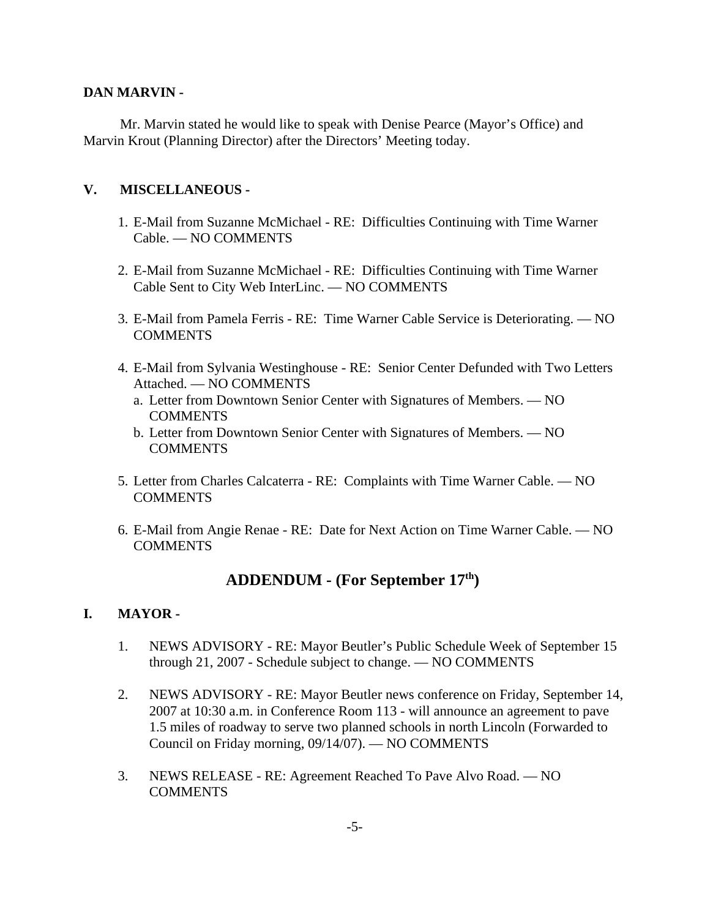### **DAN MARVIN -**

Mr. Marvin stated he would like to speak with Denise Pearce (Mayor's Office) and Marvin Krout (Planning Director) after the Directors' Meeting today.

## **V. MISCELLANEOUS -**

- 1. E-Mail from Suzanne McMichael RE: Difficulties Continuing with Time Warner Cable. — NO COMMENTS
- 2. E-Mail from Suzanne McMichael RE: Difficulties Continuing with Time Warner Cable Sent to City Web InterLinc. — NO COMMENTS
- 3. E-Mail from Pamela Ferris RE: Time Warner Cable Service is Deteriorating. NO COMMENTS
- 4. E-Mail from Sylvania Westinghouse RE: Senior Center Defunded with Two Letters Attached. — NO COMMENTS
	- a. Letter from Downtown Senior Center with Signatures of Members. NO COMMENTS
	- b. Letter from Downtown Senior Center with Signatures of Members. NO COMMENTS
- 5. Letter from Charles Calcaterra RE: Complaints with Time Warner Cable. NO **COMMENTS**
- 6. E-Mail from Angie Renae RE: Date for Next Action on Time Warner Cable. NO **COMMENTS**

# **ADDENDUM - (For September 17th)**

# **I. MAYOR -**

- 1. NEWS ADVISORY RE: Mayor Beutler's Public Schedule Week of September 15 through 21, 2007 - Schedule subject to change. — NO COMMENTS
- 2. NEWS ADVISORY RE: Mayor Beutler news conference on Friday, September 14, 2007 at 10:30 a.m. in Conference Room 113 - will announce an agreement to pave 1.5 miles of roadway to serve two planned schools in north Lincoln (Forwarded to Council on Friday morning, 09/14/07). — NO COMMENTS
- 3. NEWS RELEASE RE: Agreement Reached To Pave Alvo Road. NO **COMMENTS**